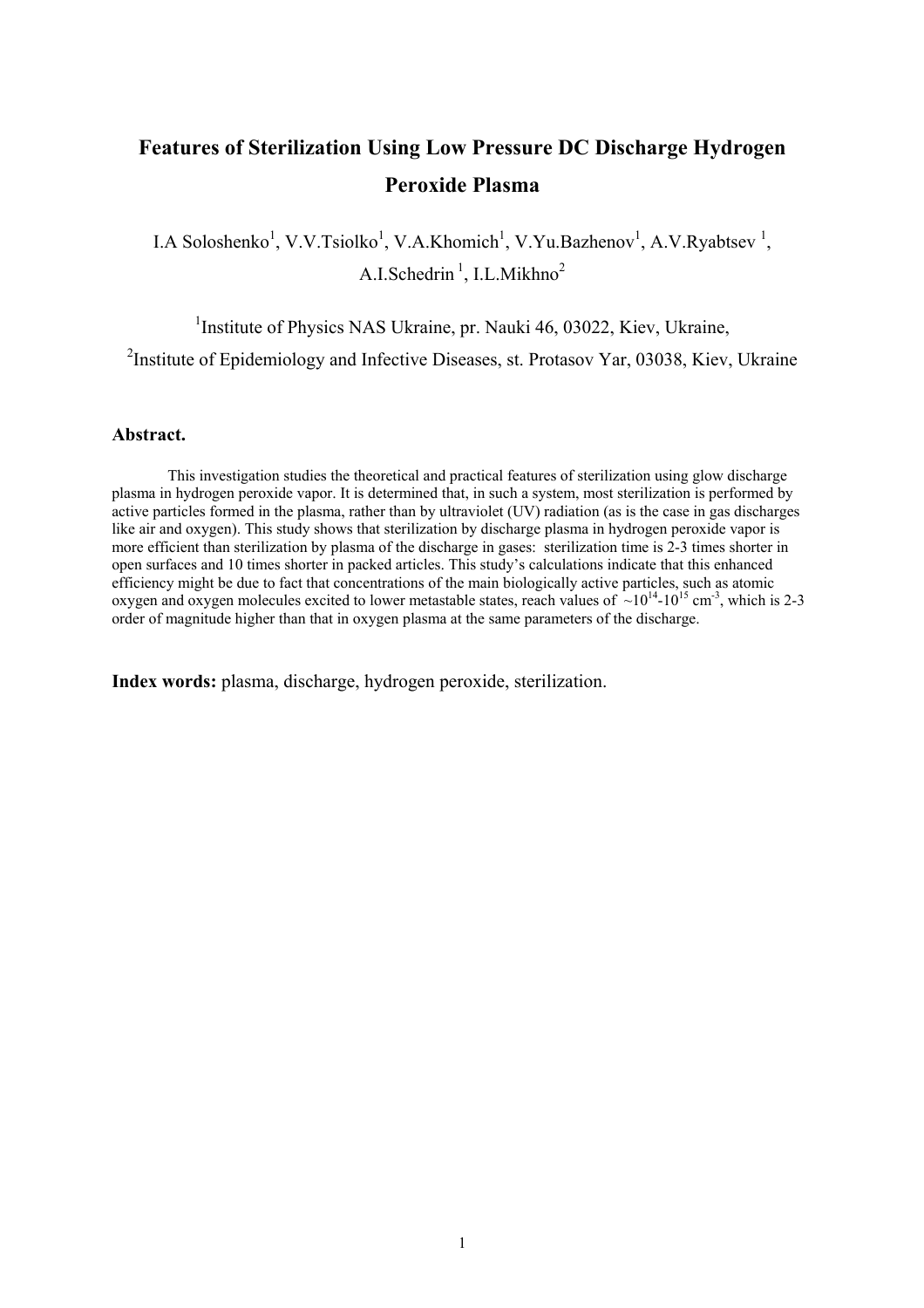# **Features of Sterilization Using Low Pressure DC Discharge Hydrogen Peroxide Plasma**

I.A Soloshenko<sup>1</sup>, V.V.Tsiolko<sup>1</sup>, V.A.Khomich<sup>1</sup>, V.Yu.Bazhenov<sup>1</sup>, A.V.Ryabtsev<sup>1</sup>, A.I.Schedrin<sup>1</sup>, I.L.Mikhno<sup>2</sup>

<sup>1</sup>Institute of Physics NAS Ukraine, pr. Nauki 46, 03022, Kiev, Ukraine,

<sup>2</sup>Institute of Epidemiology and Infective Diseases, st. Protasov Yar, 03038, Kiev, Ukraine

#### **Abstract.**

This investigation studies the theoretical and practical features of sterilization using glow discharge plasma in hydrogen peroxide vapor. It is determined that, in such a system, most sterilization is performed by active particles formed in the plasma, rather than by ultraviolet (UV) radiation (as is the case in gas discharges like air and oxygen). This study shows that sterilization by discharge plasma in hydrogen peroxide vapor is more efficient than sterilization by plasma of the discharge in gases: sterilization time is 2-3 times shorter in open surfaces and 10 times shorter in packed articles. This study's calculations indicate that this enhanced efficiency might be due to fact that concentrations of the main biologically active particles, such as atomic oxygen and oxygen molecules excited to lower metastable states, reach values of  $\sim 10^{14}$ -10<sup>15</sup> cm<sup>-3</sup>, which is 2-3 order of magnitude higher than that in oxygen plasma at the same parameters of the discharge.

**Index words:** plasma, discharge, hydrogen peroxide, sterilization.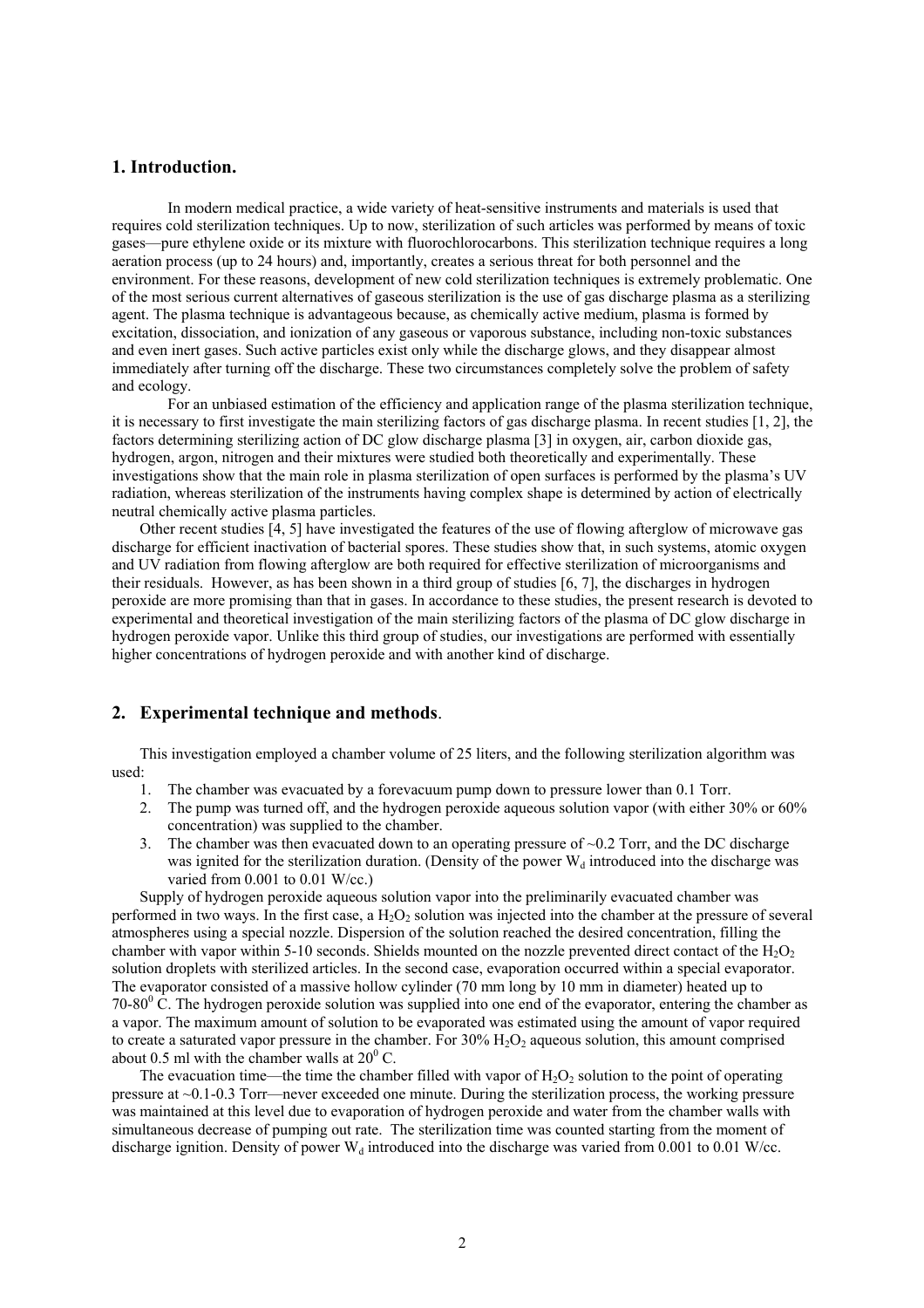## **1. Introduction.**

In modern medical practice, a wide variety of heat-sensitive instruments and materials is used that requires cold sterilization techniques. Up to now, sterilization of such articles was performed by means of toxic gases—pure ethylene oxide or its mixture with fluorochlorocarbons. This sterilization technique requires a long aeration process (up to 24 hours) and, importantly, creates a serious threat for both personnel and the environment. For these reasons, development of new cold sterilization techniques is extremely problematic. One of the most serious current alternatives of gaseous sterilization is the use of gas discharge plasma as a sterilizing agent. The plasma technique is advantageous because, as chemically active medium, plasma is formed by excitation, dissociation, and ionization of any gaseous or vaporous substance, including non-toxic substances and even inert gases. Such active particles exist only while the discharge glows, and they disappear almost immediately after turning off the discharge. These two circumstances completely solve the problem of safety and ecology.

For an unbiased estimation of the efficiency and application range of the plasma sterilization technique, it is necessary to first investigate the main sterilizing factors of gas discharge plasma. In recent studies [1, 2], the factors determining sterilizing action of DC glow discharge plasma [3] in oxygen, air, carbon dioxide gas, hydrogen, argon, nitrogen and their mixtures were studied both theoretically and experimentally. These investigations show that the main role in plasma sterilization of open surfaces is performed by the plasma's UV radiation, whereas sterilization of the instruments having complex shape is determined by action of electrically neutral chemically active plasma particles.

Other recent studies [4, 5] have investigated the features of the use of flowing afterglow of microwave gas discharge for efficient inactivation of bacterial spores. These studies show that, in such systems, atomic oxygen and UV radiation from flowing afterglow are both required for effective sterilization of microorganisms and their residuals. However, as has been shown in a third group of studies [6, 7], the discharges in hydrogen peroxide are more promising than that in gases. In accordance to these studies, the present research is devoted to experimental and theoretical investigation of the main sterilizing factors of the plasma of DC glow discharge in hydrogen peroxide vapor. Unlike this third group of studies, our investigations are performed with essentially higher concentrations of hydrogen peroxide and with another kind of discharge.

#### **2. Experimental technique and methods**.

This investigation employed a chamber volume of 25 liters, and the following sterilization algorithm was used:

- 1. The chamber was evacuated by a forevacuum pump down to pressure lower than 0.1 Torr.
- 2. The pump was turned off, and the hydrogen peroxide aqueous solution vapor (with either 30% or 60% concentration) was supplied to the chamber.
- 3. The chamber was then evacuated down to an operating pressure of  $\sim$  0.2 Torr, and the DC discharge was ignited for the sterilization duration. (Density of the power  $W_d$  introduced into the discharge was varied from 0.001 to 0.01 W/cc.)

Supply of hydrogen peroxide aqueous solution vapor into the preliminarily evacuated chamber was performed in two ways. In the first case, a  $H<sub>2</sub>O<sub>2</sub>$  solution was injected into the chamber at the pressure of several atmospheres using a special nozzle. Dispersion of the solution reached the desired concentration, filling the chamber with vapor within 5-10 seconds. Shields mounted on the nozzle prevented direct contact of the  $H_2O_2$ solution droplets with sterilized articles. In the second case, evaporation occurred within a special evaporator. The evaporator consisted of a massive hollow cylinder (70 mm long by 10 mm in diameter) heated up to 70-80 $\degree$  C. The hydrogen peroxide solution was supplied into one end of the evaporator, entering the chamber as a vapor. The maximum amount of solution to be evaporated was estimated using the amount of vapor required to create a saturated vapor pressure in the chamber. For  $30\%$  H<sub>2</sub>O<sub>2</sub> aqueous solution, this amount comprised about 0.5 ml with the chamber walls at  $20^{\circ}$  C.

The evacuation time—the time the chamber filled with vapor of  $H_2O_2$  solution to the point of operating pressure at ~0.1-0.3 Torr—never exceeded one minute. During the sterilization process, the working pressure was maintained at this level due to evaporation of hydrogen peroxide and water from the chamber walls with simultaneous decrease of pumping out rate. The sterilization time was counted starting from the moment of discharge ignition. Density of power  $W_d$  introduced into the discharge was varied from 0.001 to 0.01 W/cc.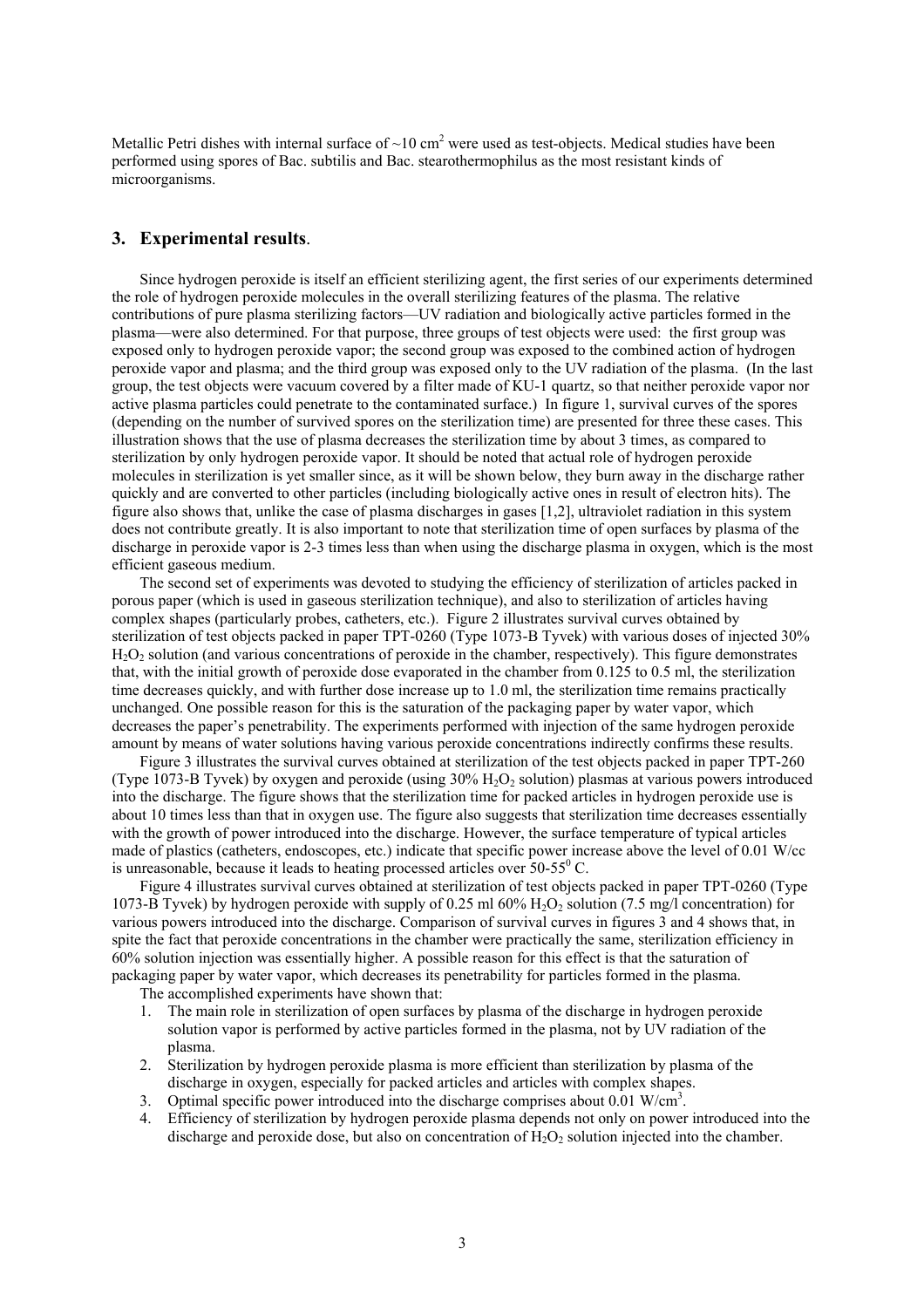Metallic Petri dishes with internal surface of  $\sim 10 \text{ cm}^2$  were used as test-objects. Medical studies have been performed using spores of Bac. subtilis and Bac. stearothermophilus as the most resistant kinds of microorganisms.

## **3. Experimental results**.

Since hydrogen peroxide is itself an efficient sterilizing agent, the first series of our experiments determined the role of hydrogen peroxide molecules in the overall sterilizing features of the plasma. The relative contributions of pure plasma sterilizing factors—UV radiation and biologically active particles formed in the plasma—were also determined. For that purpose, three groups of test objects were used: the first group was exposed only to hydrogen peroxide vapor; the second group was exposed to the combined action of hydrogen peroxide vapor and plasma; and the third group was exposed only to the UV radiation of the plasma. (In the last group, the test objects were vacuum covered by a filter made of KU-1 quartz, so that neither peroxide vapor nor active plasma particles could penetrate to the contaminated surface.) In figure 1, survival curves of the spores (depending on the number of survived spores on the sterilization time) are presented for three these cases. This illustration shows that the use of plasma decreases the sterilization time by about 3 times, as compared to sterilization by only hydrogen peroxide vapor. It should be noted that actual role of hydrogen peroxide molecules in sterilization is yet smaller since, as it will be shown below, they burn away in the discharge rather quickly and are converted to other particles (including biologically active ones in result of electron hits). The figure also shows that, unlike the case of plasma discharges in gases [1,2], ultraviolet radiation in this system does not contribute greatly. It is also important to note that sterilization time of open surfaces by plasma of the discharge in peroxide vapor is 2-3 times less than when using the discharge plasma in oxygen, which is the most efficient gaseous medium.

The second set of experiments was devoted to studying the efficiency of sterilization of articles packed in porous paper (which is used in gaseous sterilization technique), and also to sterilization of articles having complex shapes (particularly probes, catheters, etc.). Figure 2 illustrates survival curves obtained by sterilization of test objects packed in paper TPT-0260 (Type 1073-B Tyvek) with various doses of injected 30% H<sub>2</sub>O<sub>2</sub> solution (and various concentrations of peroxide in the chamber, respectively). This figure demonstrates that, with the initial growth of peroxide dose evaporated in the chamber from 0.125 to 0.5 ml, the sterilization time decreases quickly, and with further dose increase up to 1.0 ml, the sterilization time remains practically unchanged. One possible reason for this is the saturation of the packaging paper by water vapor, which decreases the paper's penetrability. The experiments performed with injection of the same hydrogen peroxide amount by means of water solutions having various peroxide concentrations indirectly confirms these results.

Figure 3 illustrates the survival curves obtained at sterilization of the test objects packed in paper TPT-260 (Type 1073-B Tyvek) by oxygen and peroxide (using  $30\%$  H<sub>2</sub>O<sub>2</sub> solution) plasmas at various powers introduced into the discharge. The figure shows that the sterilization time for packed articles in hydrogen peroxide use is about 10 times less than that in oxygen use. The figure also suggests that sterilization time decreases essentially with the growth of power introduced into the discharge. However, the surface temperature of typical articles made of plastics (catheters, endoscopes, etc.) indicate that specific power increase above the level of 0.01 W/cc is unreasonable, because it leads to heating processed articles over  $50-55^{\circ}$  C.

Figure 4 illustrates survival curves obtained at sterilization of test objects packed in paper TPT-0260 (Type 1073-B Tyvek) by hydrogen peroxide with supply of 0.25 ml 60% H2O2 solution (7.5 mg/l concentration) for various powers introduced into the discharge. Comparison of survival curves in figures 3 and 4 shows that, in spite the fact that peroxide concentrations in the chamber were practically the same, sterilization efficiency in 60% solution injection was essentially higher. A possible reason for this effect is that the saturation of packaging paper by water vapor, which decreases its penetrability for particles formed in the plasma.

The accomplished experiments have shown that:

- 1. The main role in sterilization of open surfaces by plasma of the discharge in hydrogen peroxide solution vapor is performed by active particles formed in the plasma, not by UV radiation of the plasma.
- 2. Sterilization by hydrogen peroxide plasma is more efficient than sterilization by plasma of the discharge in oxygen, especially for packed articles and articles with complex shapes.
- 3. Optimal specific power introduced into the discharge comprises about  $0.01 \text{ W/cm}^3$ .
- 4. Efficiency of sterilization by hydrogen peroxide plasma depends not only on power introduced into the discharge and peroxide dose, but also on concentration of  $H_2O_2$  solution injected into the chamber.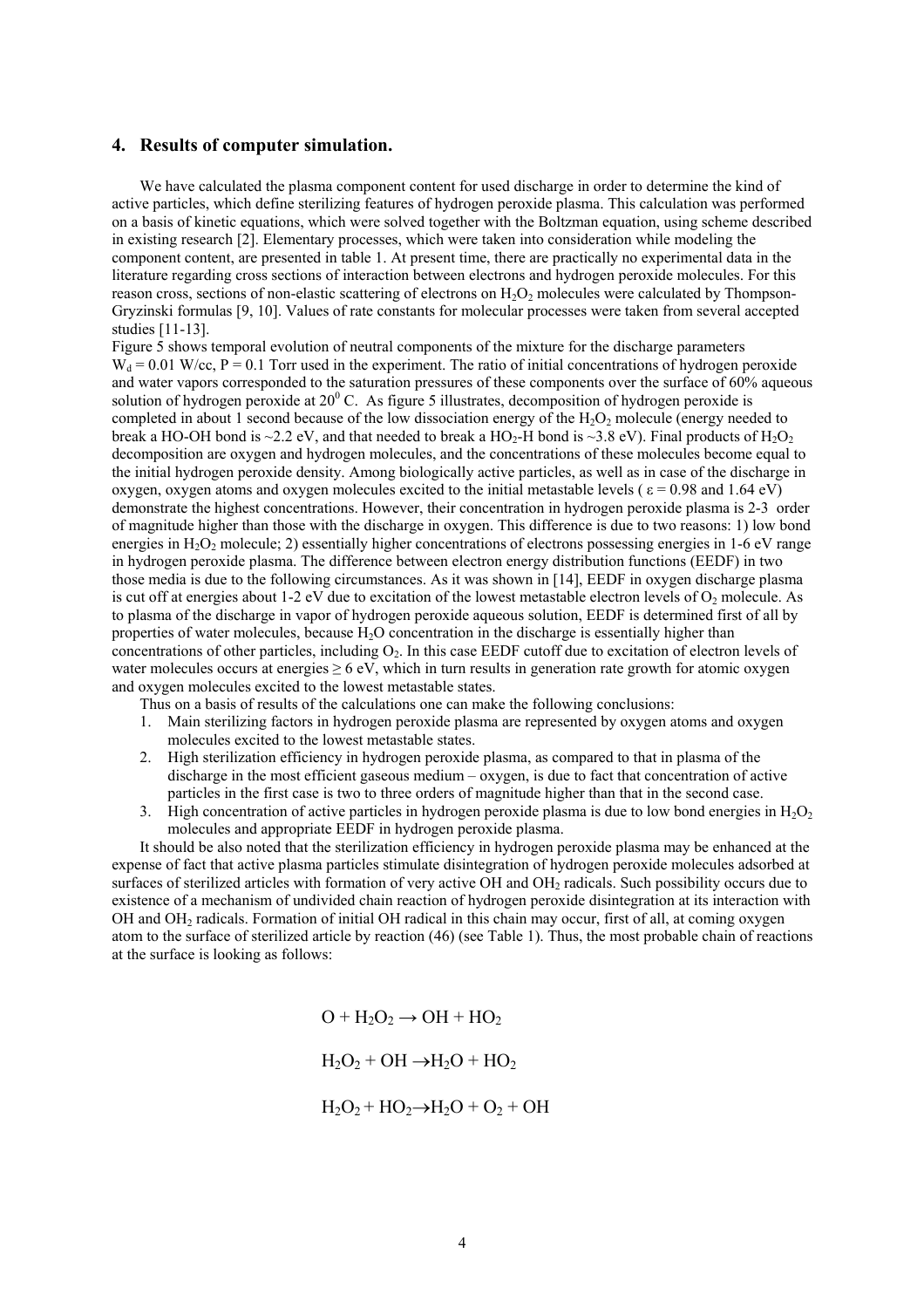#### **4. Results of computer simulation.**

We have calculated the plasma component content for used discharge in order to determine the kind of active particles, which define sterilizing features of hydrogen peroxide plasma. This calculation was performed on a basis of kinetic equations, which were solved together with the Boltzman equation, using scheme described in existing research [2]. Elementary processes, which were taken into consideration while modeling the component content, are presented in table 1. At present time, there are practically no experimental data in the literature regarding cross sections of interaction between electrons and hydrogen peroxide molecules. For this reason cross, sections of non-elastic scattering of electrons on  $H_2O_2$  molecules were calculated by Thompson-Gryzinski formulas [9, 10]. Values of rate constants for molecular processes were taken from several accepted studies [11-13].

Figure 5 shows temporal evolution of neutral components of the mixture for the discharge parameters  $W_d = 0.01$  W/cc,  $P = 0.1$  Torr used in the experiment. The ratio of initial concentrations of hydrogen peroxide and water vapors corresponded to the saturation pressures of these components over the surface of 60% aqueous solution of hydrogen peroxide at  $20^{\circ}$  C. As figure 5 illustrates, decomposition of hydrogen peroxide is completed in about 1 second because of the low dissociation energy of the  $H_2O_2$  molecule (energy needed to break a HO-OH bond is  $\sim$ 2.2 eV, and that needed to break a HO<sub>2</sub>-H bond is  $\sim$ 3.8 eV). Final products of H<sub>2</sub>O<sub>2</sub> decomposition are oxygen and hydrogen molecules, and the concentrations of these molecules become equal to the initial hydrogen peroxide density. Among biologically active particles, as well as in case of the discharge in oxygen, oxygen atoms and oxygen molecules excited to the initial metastable levels ( $\varepsilon$  = 0.98 and 1.64 eV) demonstrate the highest concentrations. However, their concentration in hydrogen peroxide plasma is 2-3 order of magnitude higher than those with the discharge in oxygen. This difference is due to two reasons: 1) low bond energies in H<sub>2</sub>O<sub>2</sub> molecule; 2) essentially higher concentrations of electrons possessing energies in 1-6 eV range in hydrogen peroxide plasma. The difference between electron energy distribution functions (EEDF) in two those media is due to the following circumstances. As it was shown in [14], EEDF in oxygen discharge plasma is cut off at energies about 1-2 eV due to excitation of the lowest metastable electron levels of  $O_2$  molecule. As to plasma of the discharge in vapor of hydrogen peroxide aqueous solution, EEDF is determined first of all by properties of water molecules, because  $H_2O$  concentration in the discharge is essentially higher than concentrations of other particles, including  $O_2$ . In this case EEDF cutoff due to excitation of electron levels of water molecules occurs at energies  $\geq 6$  eV, which in turn results in generation rate growth for atomic oxygen and oxygen molecules excited to the lowest metastable states.

Thus on a basis of results of the calculations one can make the following conclusions:

- 1. Main sterilizing factors in hydrogen peroxide plasma are represented by oxygen atoms and oxygen molecules excited to the lowest metastable states.
- 2. High sterilization efficiency in hydrogen peroxide plasma, as compared to that in plasma of the discharge in the most efficient gaseous medium – oxygen, is due to fact that concentration of active particles in the first case is two to three orders of magnitude higher than that in the second case.
- 3. High concentration of active particles in hydrogen peroxide plasma is due to low bond energies in  $H_2O_2$ molecules and appropriate EEDF in hydrogen peroxide plasma.

It should be also noted that the sterilization efficiency in hydrogen peroxide plasma may be enhanced at the expense of fact that active plasma particles stimulate disintegration of hydrogen peroxide molecules adsorbed at surfaces of sterilized articles with formation of very active OH and OH<sub>2</sub> radicals. Such possibility occurs due to existence of a mechanism of undivided chain reaction of hydrogen peroxide disintegration at its interaction with OH and OH2 radicals. Formation of initial OH radical in this chain may occur, first of all, at coming oxygen atom to the surface of sterilized article by reaction (46) (see Table 1). Thus, the most probable chain of reactions at the surface is looking as follows:

> $O + H<sub>2</sub>O<sub>2</sub> \rightarrow OH + HO<sub>2</sub>$  $H_2O_2$  + OH  $\rightarrow$  H<sub>2</sub>O + HO<sub>2</sub>

$$
H_2O_2 + HO_2 \rightarrow H_2O + O_2 + OH
$$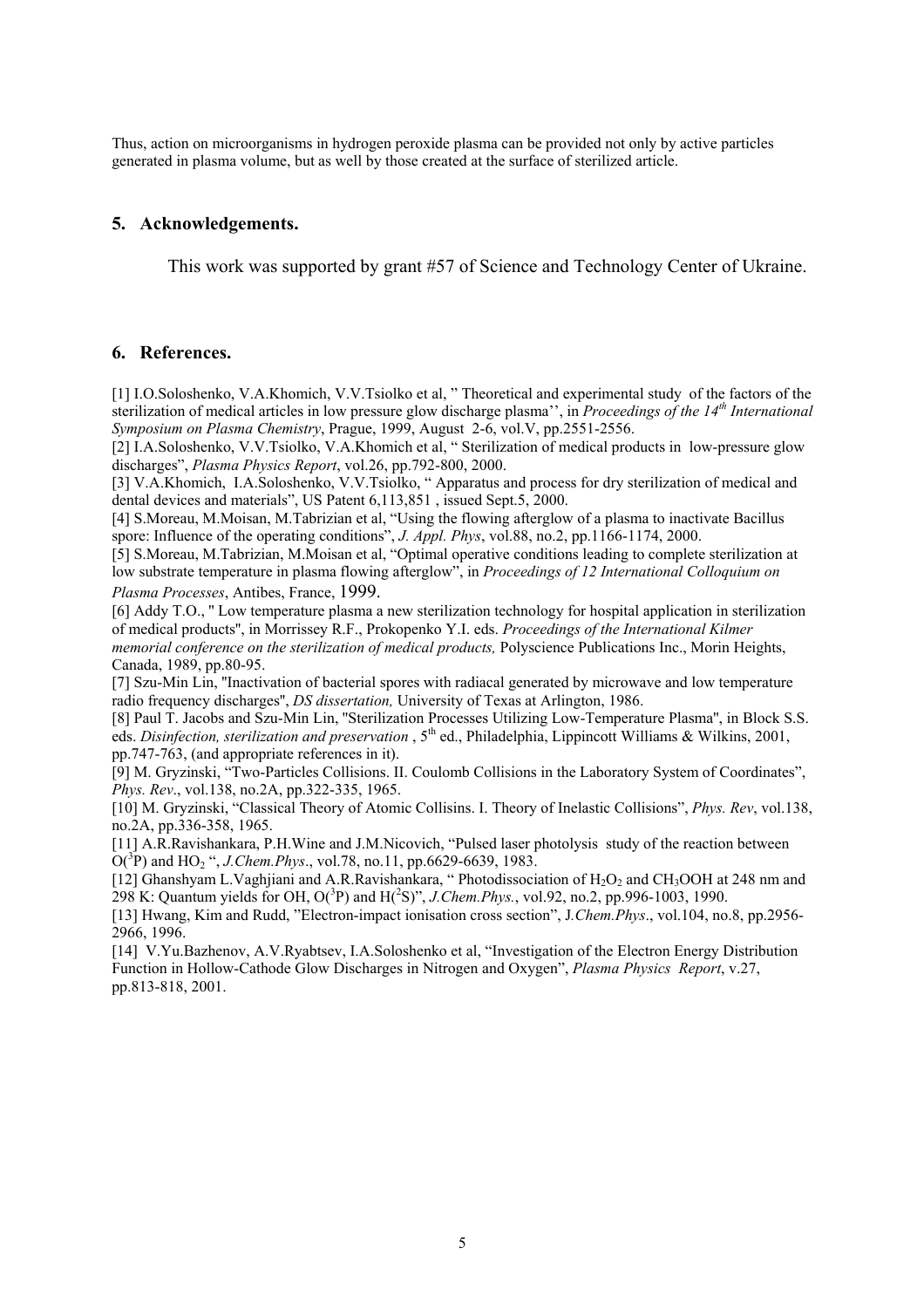Thus, action on microorganisms in hydrogen peroxide plasma can be provided not only by active particles generated in plasma volume, but as well by those created at the surface of sterilized article.

# **5. Acknowledgements.**

This work was supported by grant #57 of Science and Technology Center of Ukraine.

## **6. References.**

[1] I.O.Soloshenko, V.A.Khomich, V.V.Tsiolko et al, " Theoretical and experimental study of the factors of the sterilization of medical articles in low pressure glow discharge plasma'', in *Proceedings of the 14th International Symposium on Plasma Chemistry*, Prague, 1999, August 2-6, vol.V, pp.2551-2556.

[2] I.A.Soloshenko, V.V.Tsiolko, V.A.Khomich et al, " Sterilization of medical products in low-pressure glow discharges", *Plasma Physics Report*, vol.26, pp.792-800, 2000.

[3] V.A.Khomich, I.A.Soloshenko, V.V.Tsiolko, " Apparatus and process for dry sterilization of medical and dental devices and materials", US Patent 6,113,851 , issued Sept.5, 2000.

[4] S.Moreau, M.Moisan, M.Tabrizian et al, "Using the flowing afterglow of a plasma to inactivate Bacillus spore: Influence of the operating conditions", *J. Appl. Phys*, vol.88, no.2, pp.1166-1174, 2000.

[5] S.Moreau, M.Tabrizian, M.Moisan et al, "Optimal operative conditions leading to complete sterilization at low substrate temperature in plasma flowing afterglow", in *Proceedings of 12 International Colloquium on Plasma Processes*, Antibes, France, 1999.

[6] Addy T.O., '' Low temperature plasma a new sterilization technology for hospital application in sterilization of medical products'', in Morrissey R.F., Prokopenko Y.I. eds. *Proceedings of the International Kilmer memorial conference on the sterilization of medical products,* Polyscience Publications Inc., Morin Heights, Canada, 1989, pp.80-95.

[7] Szu-Min Lin, ''Inactivation of bacterial spores with radiacal generated by microwave and low temperature radio frequency discharges'', *DS dissertation,* University of Texas at Arlington, 1986.

[8] Paul T. Jacobs and Szu-Min Lin, ''Sterilization Processes Utilizing Low-Temperature Plasma'', in Block S.S. eds. *Disinfection, sterilization and preservation*, 5<sup>th</sup> ed., Philadelphia, Lippincott Williams & Wilkins, 2001, pp.747-763, (and appropriate references in it).

[9] M. Gryzinski, "Two-Particles Collisions. II. Coulomb Collisions in the Laboratory System of Coordinates", *Phys. Rev*., vol.138, no.2A, pp.322-335, 1965.

[10] M. Gryzinski, "Classical Theory of Atomic Collisins. I. Theory of Inelastic Collisions", *Phys. Rev*, vol.138, no.2A, pp.336-358, 1965.

[11] A.R.Ravishankara, P.H.Wine and J.M.Nicovich, "Pulsed laser photolysis study of the reaction between  $O(^{3}P)$  and HO<sub>2</sub> ", *J.Chem.Phys.*, vol.78, no.11, pp.6629-6639, 1983.

[12] Ghanshyam L.Vaghjiani and A.R.Ravishankara, " Photodissociation of H<sub>2</sub>O<sub>2</sub> and CH<sub>3</sub>OOH at 248 nm and 298 K: Quantum yields for OH,  $O(^3P)$  and  $H(^2S)$ ", *J.Chem.Phys.*, vol.92, no.2, pp.996-1003, 1990.

[13] Hwang, Kim and Rudd, "Electron-impact ionisation cross section", J*.Chem.Phys*., vol.104, no.8, pp.2956- 2966, 1996.

[14] V.Yu.Bazhenov, A.V.Ryabtsev, I.A.Soloshenko et al, "Investigation of the Electron Energy Distribution Function in Hollow-Cathode Glow Discharges in Nitrogen and Oxygen", *Plasma Physics Report*, v.27, pp.813-818, 2001.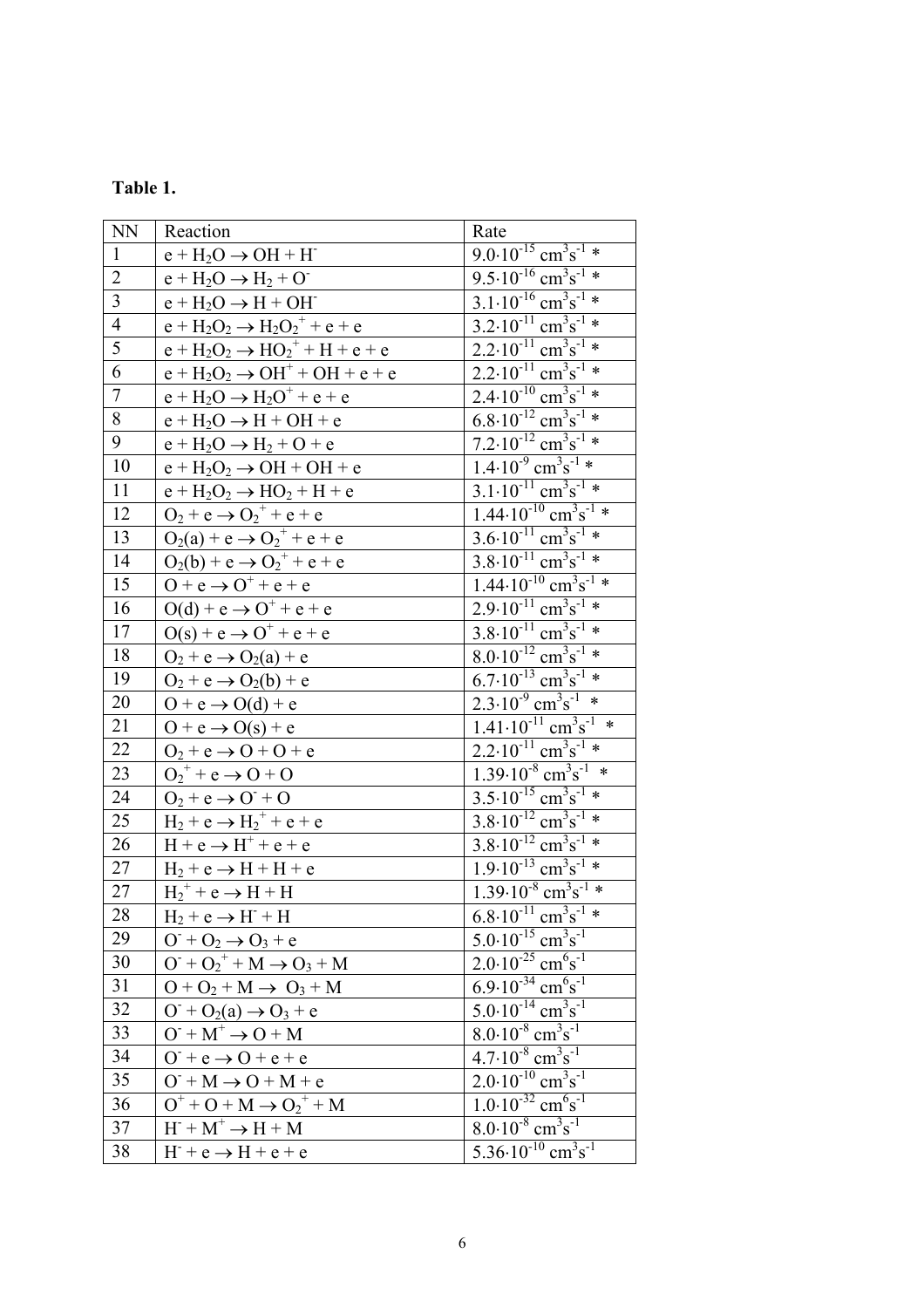| anie |  |
|------|--|
|      |  |

| <b>NN</b>               | Reaction                                    | Rate                                                                                                                                                                                                                                                                                                                                                                                                          |
|-------------------------|---------------------------------------------|---------------------------------------------------------------------------------------------------------------------------------------------------------------------------------------------------------------------------------------------------------------------------------------------------------------------------------------------------------------------------------------------------------------|
| $\mathbf{1}$            | $e + H_2O \rightarrow OH + H$               | $9.0 \cdot 10^{-15}$ cm <sup>3</sup> s <sup>-1</sup> *                                                                                                                                                                                                                                                                                                                                                        |
| $\overline{c}$          | $e + H_2O \rightarrow H_2 + O$              | $9.5 \cdot 10^{-16}$ cm <sup>3</sup> s <sup>-1</sup> *                                                                                                                                                                                                                                                                                                                                                        |
| $\overline{\mathbf{3}}$ | $e + H_2O \rightarrow H + OH$               | $3.1 \cdot 10^{-16}$ cm <sup>3</sup> s <sup>-1</sup> *                                                                                                                                                                                                                                                                                                                                                        |
| $\overline{4}$          | $e + H_2O_2 \rightarrow H_2O_2^+ + e + e$   |                                                                                                                                                                                                                                                                                                                                                                                                               |
| $\overline{5}$          | $e + H_2O_2 \rightarrow HO_2^+ + H + e + e$ | $\frac{3.2 \cdot 10^{-11} \text{ cm}^3 \text{s}^{-1} \times}{2.2 \cdot 10^{-11} \text{ cm}^3 \text{s}^{-1} \times}$                                                                                                                                                                                                                                                                                           |
| $\overline{6}$          | $e + H_2O_2 \rightarrow OH^+ + OH + e + e$  | $2.2 \cdot 10^{-11}$ cm <sup>3</sup> s <sup>-1</sup> *                                                                                                                                                                                                                                                                                                                                                        |
| $\overline{7}$          | $e + H_2O \rightarrow H_2O^+ + e + e$       | $2.4 \cdot 10^{-10}$ cm <sup>3</sup> s <sup>-1</sup> *                                                                                                                                                                                                                                                                                                                                                        |
| $\overline{8}$          | $e + H_2O \rightarrow H + OH + e$           | $\frac{1.11 \times 10^{-12} \text{ cm}^3 \text{s}^{-1} \cdot \text{m}}{6.8 \cdot 10^{-12} \text{ cm}^3 \text{s}^{-1} \cdot \text{m}}$                                                                                                                                                                                                                                                                         |
| 9                       | $e + H_2O \rightarrow H_2 + O + e$          | $7.2 \cdot 10^{-12}$ cm <sup>3</sup> s <sup>-1</sup> *                                                                                                                                                                                                                                                                                                                                                        |
| 10                      | $e + H_2O_2 \rightarrow OH + OH + e$        | $1.4 \cdot 10^{-9}$ cm <sup>3</sup> s <sup>-1</sup> *                                                                                                                                                                                                                                                                                                                                                         |
| 11                      | $e + H_2O_2 \rightarrow HO_2 + H + e$       | $\frac{3.1 \cdot 10^{-11} \text{ cm}^3 \text{s}^{-1} \times 1.44 \cdot 10^{-10} \text{ cm}^3 \text{s}^{-1} \times 3.6 \cdot 10^{-11} \text{ cm}^3 \text{s}^{-1} \times 1.44 \cdot 10^{-10} \text{ cm}^3 \text{s}^{-1} \times 1.44 \cdot 10^{-10} \text{ cm}^{-1} \times 1.44 \cdot 10^{-10} \text{ cm}^{-1} \times 1.44 \cdot 10^{-10} \text{ cm}^{-1} \times 1.44 \cdot 10^{-10} \text{ cm}^{-1} \times 1.4$ |
| 12                      | $O_2 + e \rightarrow O_2^+ + e + e$         |                                                                                                                                                                                                                                                                                                                                                                                                               |
| 13                      | $O_2(a) + e \rightarrow O_2^+ + e + e$      |                                                                                                                                                                                                                                                                                                                                                                                                               |
| 14                      | $O_2(b) + e \rightarrow O_2^+ + e + e$      | $3.8 \cdot 10^{-11}$ cm <sup>3</sup> s <sup>-1</sup> *                                                                                                                                                                                                                                                                                                                                                        |
| 15                      | $O + e \rightarrow O^+ + e + e$             | $\frac{1.44 \cdot 10^{-10} \text{ cm}^3 \text{s}^{-1} \times}{2.9 \cdot 10^{-11} \text{ cm}^3 \text{s}^{-1} \times}$                                                                                                                                                                                                                                                                                          |
| 16                      | $O(d) + e \rightarrow O^+ + e + e$          |                                                                                                                                                                                                                                                                                                                                                                                                               |
| 17                      | $O(s) + e \rightarrow O^+ + e + e$          | $3.8 \cdot 10^{-11}$ cm <sup>3</sup> s <sup>-1</sup> *                                                                                                                                                                                                                                                                                                                                                        |
| 18                      | $O_2 + e \rightarrow O_2(a) + e$            | $8.0 \cdot 10^{-12}$ cm <sup>3</sup> s <sup>-1</sup> *                                                                                                                                                                                                                                                                                                                                                        |
| 19                      | $O_2 + e \rightarrow O_2(b) + e$            | $6.7 \cdot 10^{-13}$ cm <sup>3</sup> s <sup>-1</sup> *                                                                                                                                                                                                                                                                                                                                                        |
| 20                      | $O + e \rightarrow O(d) + e$                | $2.\overline{3.10^9} \text{ cm}^3 \text{s}^{-1}$ *                                                                                                                                                                                                                                                                                                                                                            |
| 21                      | $O + e \rightarrow O(s) + e$                | $1.41 \cdot 10^{-11}$ cm <sup>3</sup> s <sup>-1</sup> *                                                                                                                                                                                                                                                                                                                                                       |
| 22                      | $O_2$ + e $\rightarrow$ O + O + e           | $2.2 \cdot 10^{-11}$ cm <sup>3</sup> s <sup>-1</sup> *                                                                                                                                                                                                                                                                                                                                                        |
| 23                      | $O_2^+$ + e $\rightarrow$ O + O             | $1.39 \cdot 10^{-8}$ cm <sup>3</sup> s <sup>-1</sup> *                                                                                                                                                                                                                                                                                                                                                        |
| 24                      | $O_2$ + e $\rightarrow$ O + O               | $3.5 \cdot 10^{-15}$ cm <sup>3</sup> s <sup>-1</sup> *                                                                                                                                                                                                                                                                                                                                                        |
| 25                      | $H_2 + e \rightarrow H_2^+ + e + e$         | $3.8 \cdot 10^{-12}$ cm <sup>3</sup> s <sup>-1</sup> *                                                                                                                                                                                                                                                                                                                                                        |
| 26                      | $H + e \rightarrow H^+ + e + e$             | $\frac{3.8 \cdot 10^{-12} \text{ cm}^3 \text{s}^{-1} \times}{1.9 \cdot 10^{-13} \text{ cm}^3 \text{s}^{-1} \times}$                                                                                                                                                                                                                                                                                           |
| $27\,$                  | $H_2$ + e $\rightarrow$ H + H + e           |                                                                                                                                                                                                                                                                                                                                                                                                               |
| 27                      | $H_2^+$ + e $\rightarrow$ H + H             | $1.39 \cdot 10^{-8}$ cm <sup>3</sup> s <sup>-1</sup> *                                                                                                                                                                                                                                                                                                                                                        |
| 28                      | $H_2 + e \rightarrow H^- + H$               | $6.8 \cdot 10^{-11}$ cm <sup>3</sup> s <sup>-1</sup> *                                                                                                                                                                                                                                                                                                                                                        |
| 29                      | $O^- + O_2 \rightarrow O_3 + e$             | $5.0 \cdot 10^{-15}$ cm <sup>3</sup> s <sup>-1</sup>                                                                                                                                                                                                                                                                                                                                                          |
| 30                      | $O^+ + O_2^+ + M \rightarrow O_3 + M$       | $2.0 \cdot 10^{-25}$ cm <sup>6</sup> s <sup>-1</sup>                                                                                                                                                                                                                                                                                                                                                          |
| 31                      | $O + O_2 + M \rightarrow O_3 + M$           | $6.9.10^{-34}$ cm <sup>6</sup> s <sup>-1</sup>                                                                                                                                                                                                                                                                                                                                                                |
| 32                      | $O+ O2(a) \rightarrow O3 + e$               | $5.0 \cdot 10^{-14}$ cm <sup>3</sup> s <sup>-1</sup>                                                                                                                                                                                                                                                                                                                                                          |
| 33                      | $O+ M+ \rightarrow O + M$                   | $8.0 \cdot 10^{-8}$ cm <sup>3</sup> s <sup>-1</sup>                                                                                                                                                                                                                                                                                                                                                           |
| 34                      | $0^-$ +e $\rightarrow$ 0 + e + e            | $4.7 \cdot 10^{-8}$ cm <sup>3</sup> s <sup>-1</sup>                                                                                                                                                                                                                                                                                                                                                           |
| 35                      | $O+ M \rightarrow O + M + e$                | $2.0 \cdot 10^{-10}$ cm <sup>3</sup> s <sup>-1</sup>                                                                                                                                                                                                                                                                                                                                                          |
| 36                      | $O^+ + O + M \rightarrow O_2^+ + M$         | $1.0 \cdot 10^{-32}$ cm <sup>6</sup> s <sup>-1</sup>                                                                                                                                                                                                                                                                                                                                                          |
| 37                      | $H^- + M^+ \rightarrow H + M$               | $8.0 \cdot 10^{-8}$ cm <sup>3</sup> s <sup>-1</sup>                                                                                                                                                                                                                                                                                                                                                           |
| 38                      | $H^- + e \rightarrow H + e + e$             | $5.36 \cdot 10^{-10}$ cm <sup>3</sup> s <sup>-1</sup>                                                                                                                                                                                                                                                                                                                                                         |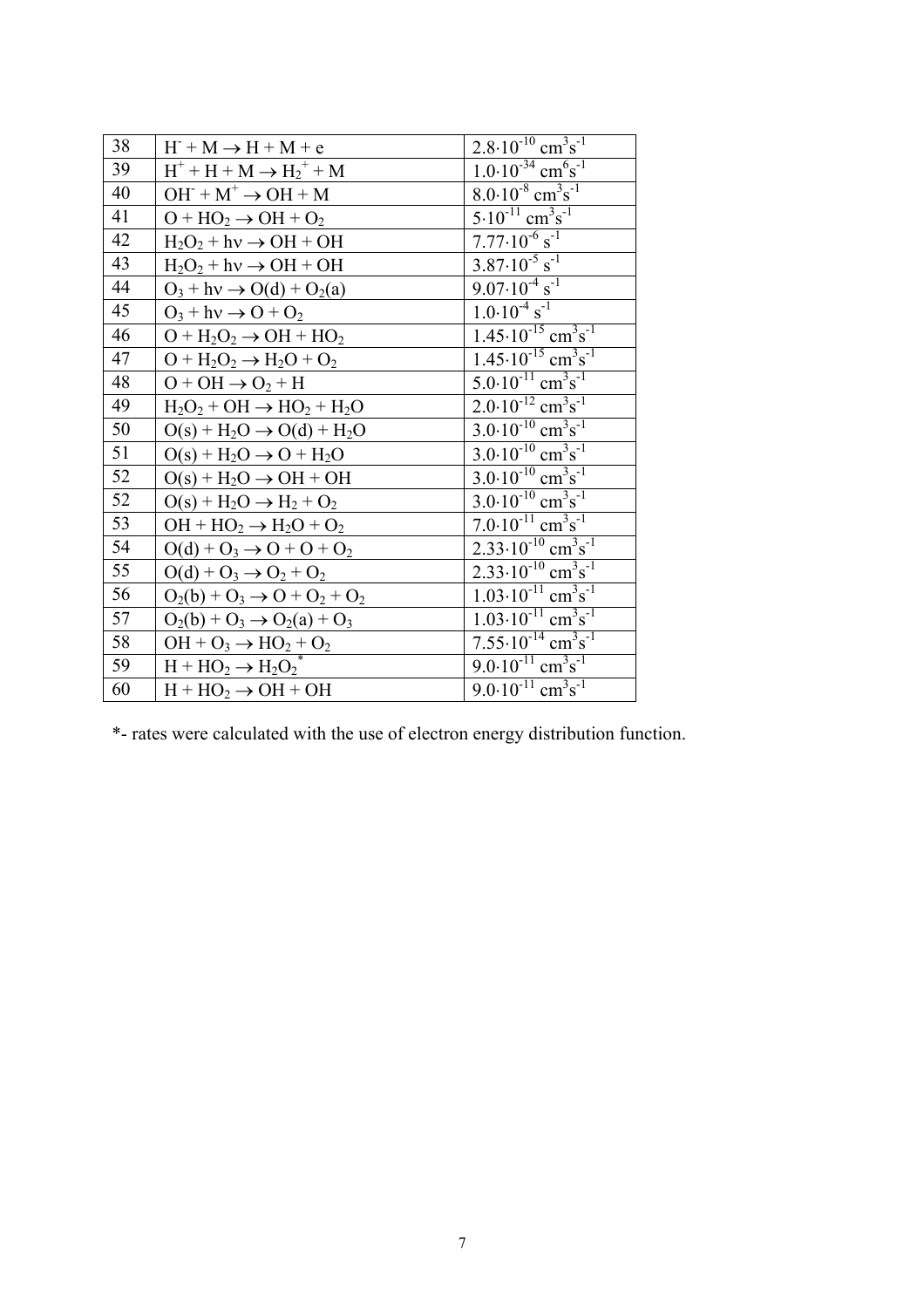| 38 | $H^+ + M \rightarrow H + M + e$                 | $2.8 \cdot 10^{-10}$ cm <sup>3</sup> s <sup>-1</sup>  |
|----|-------------------------------------------------|-------------------------------------------------------|
| 39 | $H^+ + H + M \rightarrow {H_2}^+ + M$           | $1.0 \cdot 10^{-34}$ cm <sup>6</sup> s <sup>-1</sup>  |
| 40 | $OH^- + M^+ \rightarrow OH + M$                 | $8.0 \cdot 10^{-8}$ cm <sup>3</sup> s <sup>-1</sup>   |
| 41 | $O + HO2 \rightarrow OH + O2$                   | $5.10^{-11}$ cm <sup>3</sup> s <sup>-1</sup>          |
| 42 | $H_2O_2 + hv \rightarrow OH + OH$               | $7.77 \cdot 10^{-6}$ s <sup>-1</sup>                  |
| 43 | $H_2O_2 + hv \rightarrow OH + OH$               | $3.87 \cdot 10^{-5}$ s <sup>-1</sup>                  |
| 44 | $O_3 + hv \rightarrow O(d) + O_2(a)$            | $9.07 \cdot 10^{-4}$ s <sup>-1</sup>                  |
| 45 | $O_3$ + hv $\rightarrow$ O + O <sub>2</sub>     | $1.0 \cdot 10^{-4}$ s <sup>-1</sup>                   |
| 46 | $O + H2O2 \rightarrow OH + HO2$                 | $1.45 \cdot 10^{-15}$ cm <sup>3</sup> s <sup>-1</sup> |
| 47 | $O + H2O2 \rightarrow H2O + O2$                 | $1.45 \cdot 10^{-15}$ cm <sup>3</sup> s <sup>-1</sup> |
| 48 | $O + OH \rightarrow O_2 + H$                    | $5.0 \cdot 10^{-11}$ cm <sup>3</sup> s <sup>-1</sup>  |
| 49 | $H_2O_2 + OH \rightarrow HO_2 + H_2O$           | $2.0 \cdot 10^{-12}$ cm <sup>3</sup> s <sup>-1</sup>  |
| 50 | $O(s) + H_2O \rightarrow O(d) + H_2O$           | $3.0 \cdot 10^{-10}$ cm <sup>3</sup> s <sup>-1</sup>  |
| 51 | $O(s) + H_2O \rightarrow O + H_2O$              | $3.0 \cdot 10^{-10}$ cm <sup>3</sup> s <sup>-1</sup>  |
| 52 | $O(s)$ + H <sub>2</sub> O $\rightarrow$ OH + OH | $3.0 \cdot 10^{-10}$ cm <sup>3</sup> s <sup>-1</sup>  |
| 52 | $O(s) + H_2O \rightarrow H_2 + O_2$             | $3.0 \cdot 10^{-10}$ cm <sup>3</sup> s <sup>-1</sup>  |
| 53 | $OH + HO2 \rightarrow H2O + O2$                 | $7.0 \cdot 10^{-11}$ cm <sup>3</sup> s <sup>-1</sup>  |
| 54 | $O(d) + O_3 \rightarrow O + O + O_2$            | $2.33 \cdot 10^{-10}$ cm <sup>3</sup> s <sup>-1</sup> |
| 55 | $O(d) + O_3 \rightarrow O_2 + O_2$              | $2.33 \cdot 10^{-10}$ cm <sup>3</sup> s <sup>-1</sup> |
| 56 | $O_2(b) + O_3 \rightarrow O + O_2 + O_2$        | $1.03 \cdot 10^{-11}$ cm <sup>3</sup> s <sup>-1</sup> |
| 57 | $O_2(b) + O_3 \rightarrow O_2(a) + O_3$         | $1.03 \cdot 10^{-11}$ cm <sup>3</sup> s <sup>-1</sup> |
| 58 | $OH + O_3 \rightarrow HO_2 + O_2$               | $7.55 \cdot 10^{-14}$ cm <sup>3</sup> s <sup>-1</sup> |
| 59 | $H + HO_2 \rightarrow H_2O_2$ <sup>*</sup>      | $9.0 \cdot 10^{-11}$ cm <sup>3</sup> s <sup>-1</sup>  |
| 60 | $H + HO2 \rightarrow OH + OH$                   | $9.0 \cdot 10^{-11}$ cm <sup>3</sup> s <sup>-1</sup>  |

\*- rates were calculated with the use of electron energy distribution function.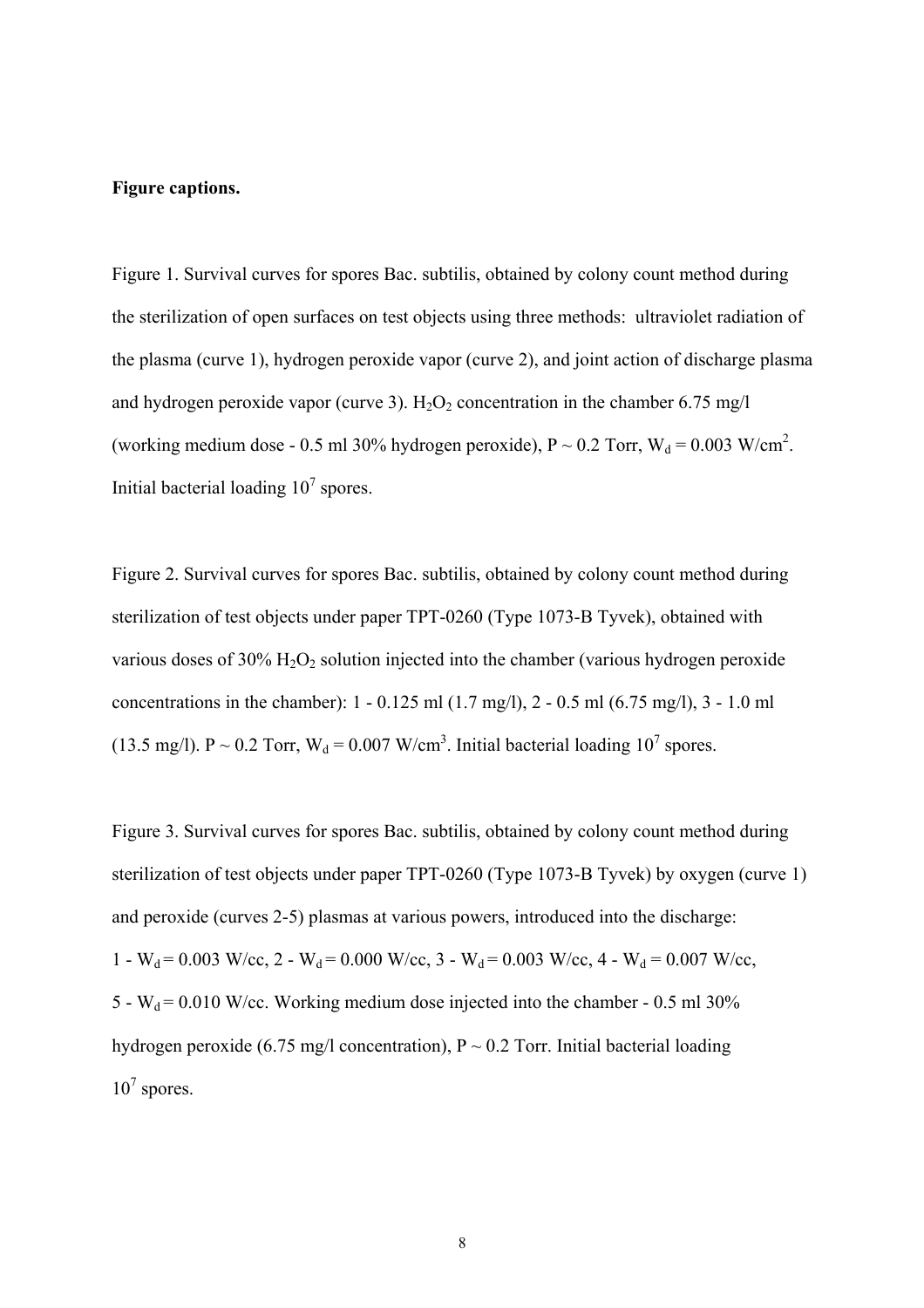#### **Figure captions.**

Figure 1. Survival curves for spores Bac. subtilis, obtained by colony count method during the sterilization of open surfaces on test objects using three methods: ultraviolet radiation of the plasma (curve 1), hydrogen peroxide vapor (curve 2), and joint action of discharge plasma and hydrogen peroxide vapor (curve 3).  $H_2O_2$  concentration in the chamber 6.75 mg/l (working medium dose - 0.5 ml 30% hydrogen peroxide),  $P \sim 0.2$  Torr,  $W_d = 0.003$  W/cm<sup>2</sup>. Initial bacterial loading  $10^7$  spores.

Figure 2. Survival curves for spores Bac. subtilis, obtained by colony count method during sterilization of test objects under paper TPT-0260 (Type 1073-B Tyvek), obtained with various doses of  $30\%$  H<sub>2</sub>O<sub>2</sub> solution injected into the chamber (various hydrogen peroxide concentrations in the chamber): 1 - 0.125 ml (1.7 mg/l), 2 - 0.5 ml (6.75 mg/l), 3 - 1.0 ml (13.5 mg/l). P ~ 0.2 Torr,  $W_d = 0.007$  W/cm<sup>3</sup>. Initial bacterial loading 10<sup>7</sup> spores.

Figure 3. Survival curves for spores Bac. subtilis, obtained by colony count method during sterilization of test objects under paper TPT-0260 (Type 1073-B Tyvek) by oxygen (curve 1) and peroxide (curves 2-5) plasmas at various powers, introduced into the discharge: 1 - W<sub>d</sub> = 0.003 W/cc, 2 - W<sub>d</sub> = 0.000 W/cc, 3 - W<sub>d</sub> = 0.003 W/cc, 4 - W<sub>d</sub> = 0.007 W/cc, 5 -  $W_d$  = 0.010 W/cc. Working medium dose injected into the chamber - 0.5 ml 30% hydrogen peroxide (6.75 mg/l concentration),  $P \sim 0.2$  Torr. Initial bacterial loading  $10^7$  spores.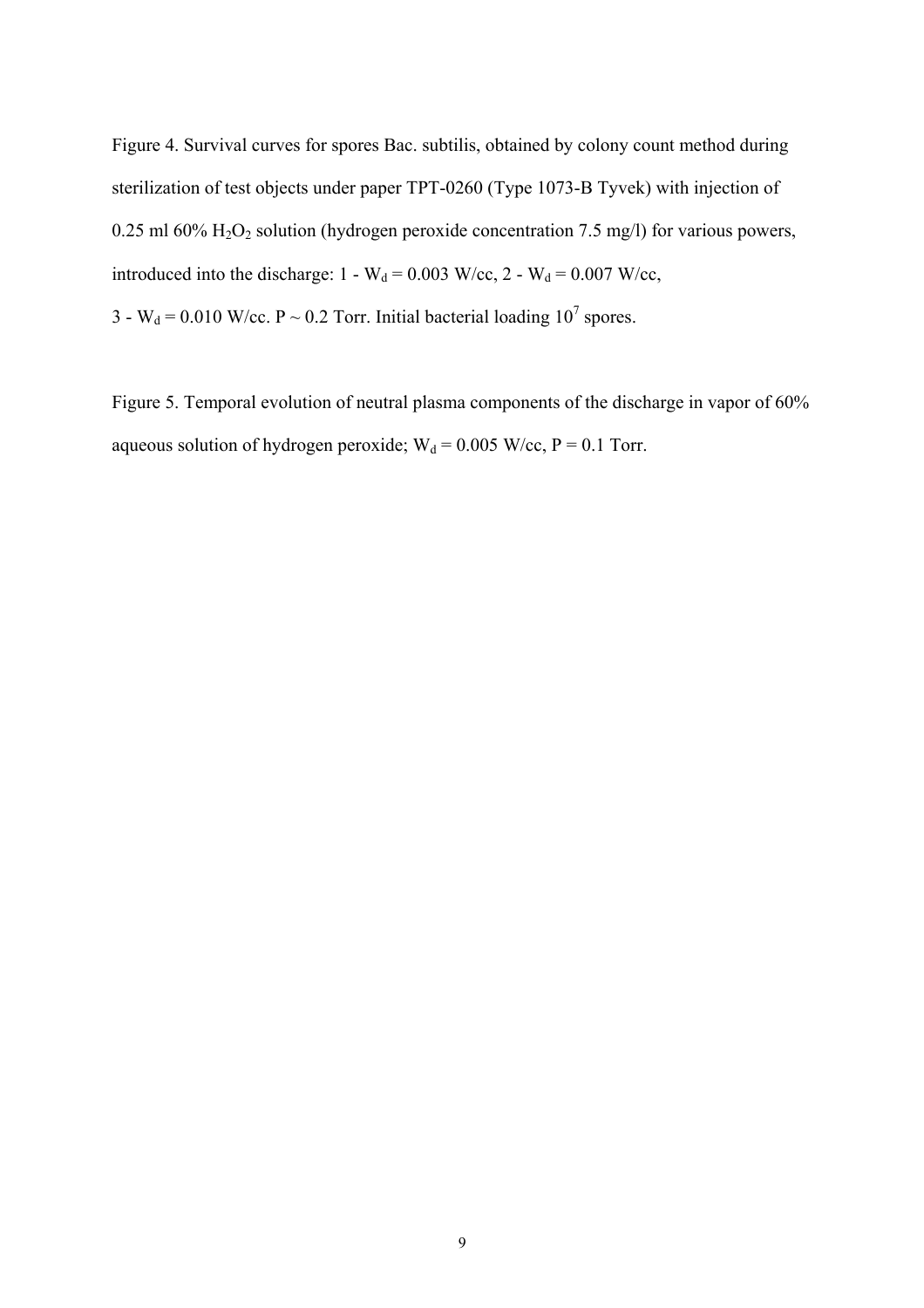Figure 4. Survival curves for spores Bac. subtilis, obtained by colony count method during sterilization of test objects under paper TPT-0260 (Type 1073-B Tyvek) with injection of 0.25 ml 60%  $H_2O_2$  solution (hydrogen peroxide concentration 7.5 mg/l) for various powers, introduced into the discharge:  $1 - W_d = 0.003$  W/cc,  $2 - W_d = 0.007$  W/cc,

3 - W<sub>d</sub> = 0.010 W/cc. P ~ 0.2 Torr. Initial bacterial loading 10<sup>7</sup> spores.

Figure 5. Temporal evolution of neutral plasma components of the discharge in vapor of 60% aqueous solution of hydrogen peroxide;  $W_d = 0.005$  W/cc, P = 0.1 Torr.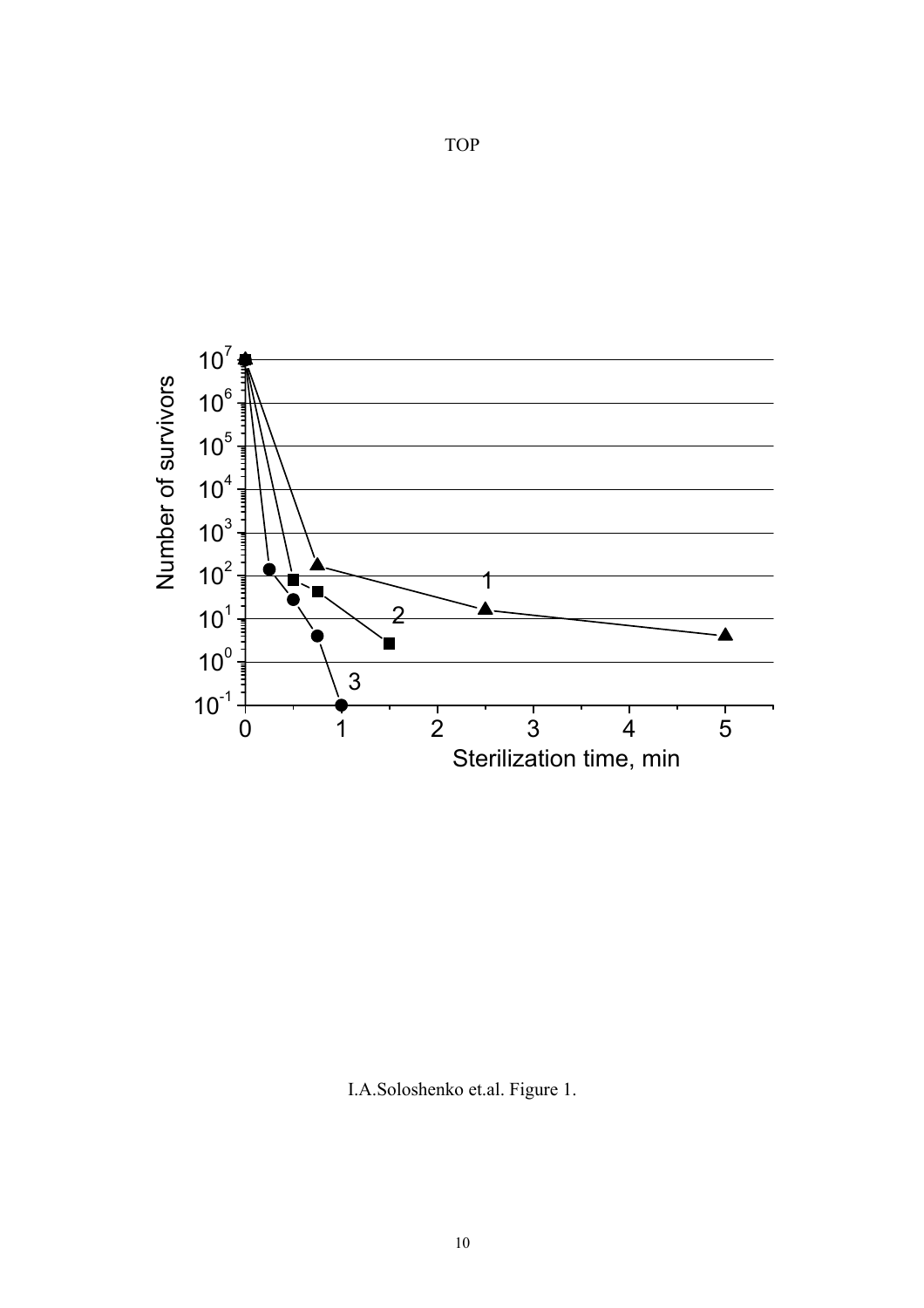

TOP

I.A.Soloshenko et.al. Figure 1.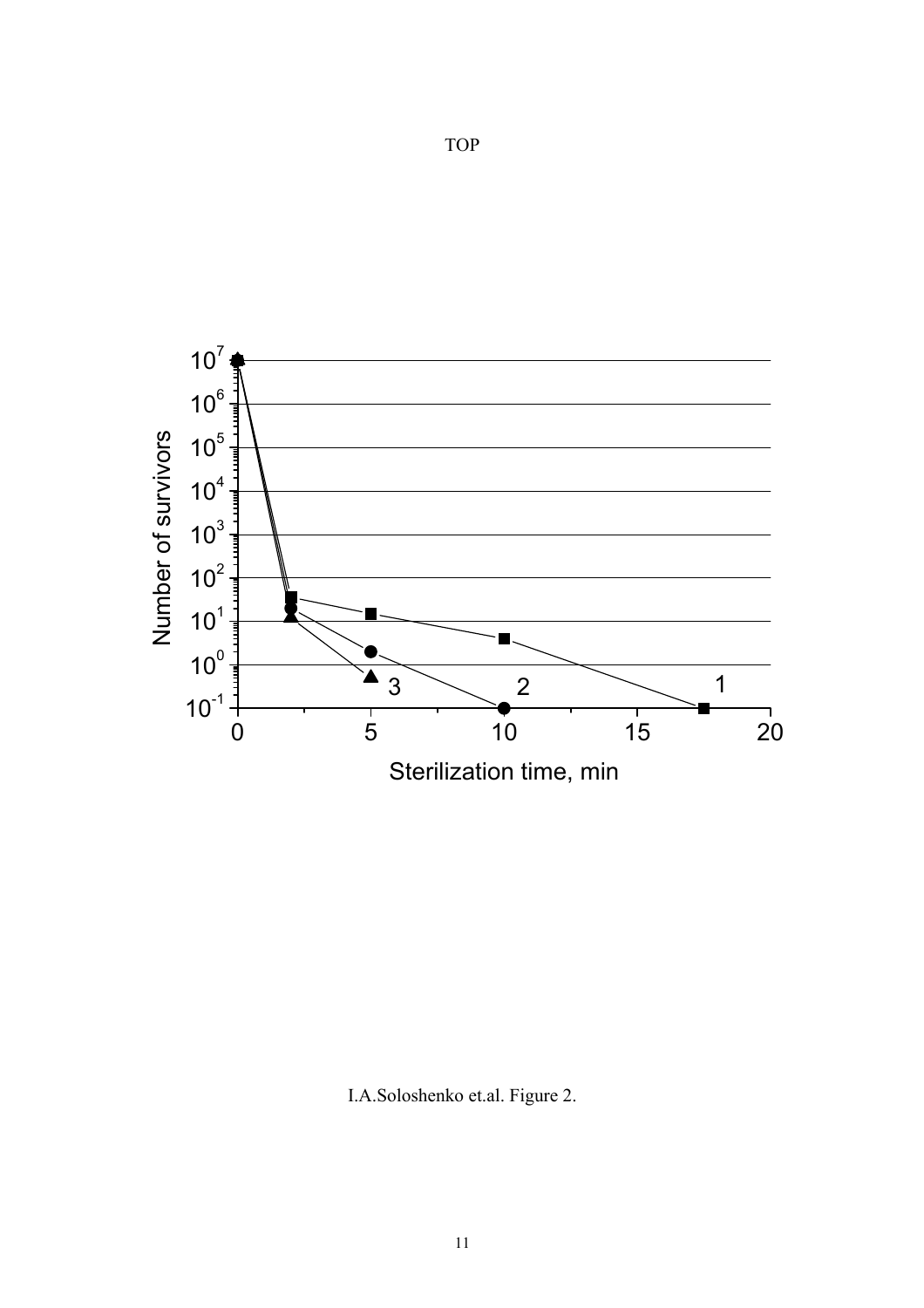

I.A.Soloshenko et.al. Figure 2.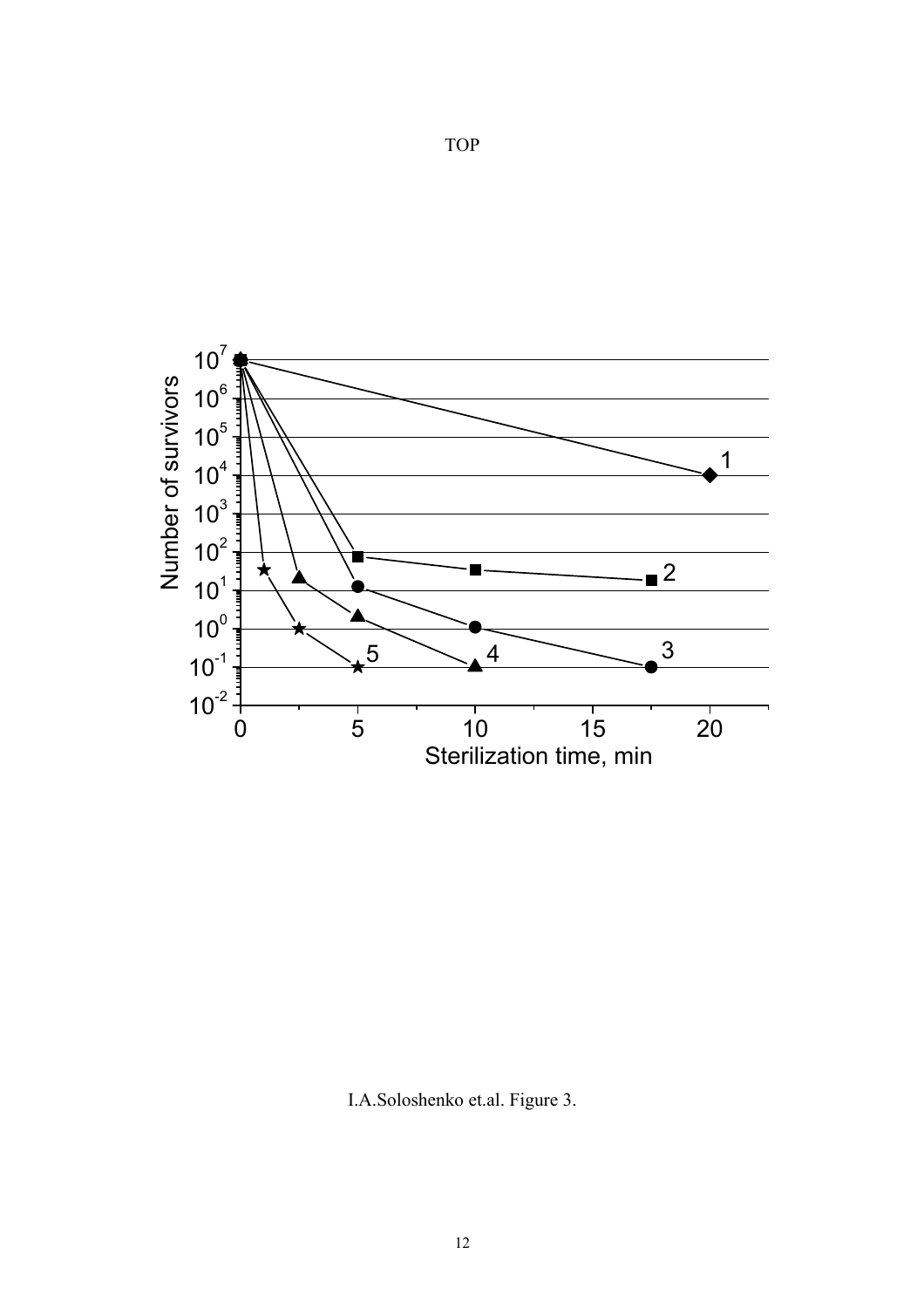

TOP

I.A.Soloshenko et.al. Figure 3.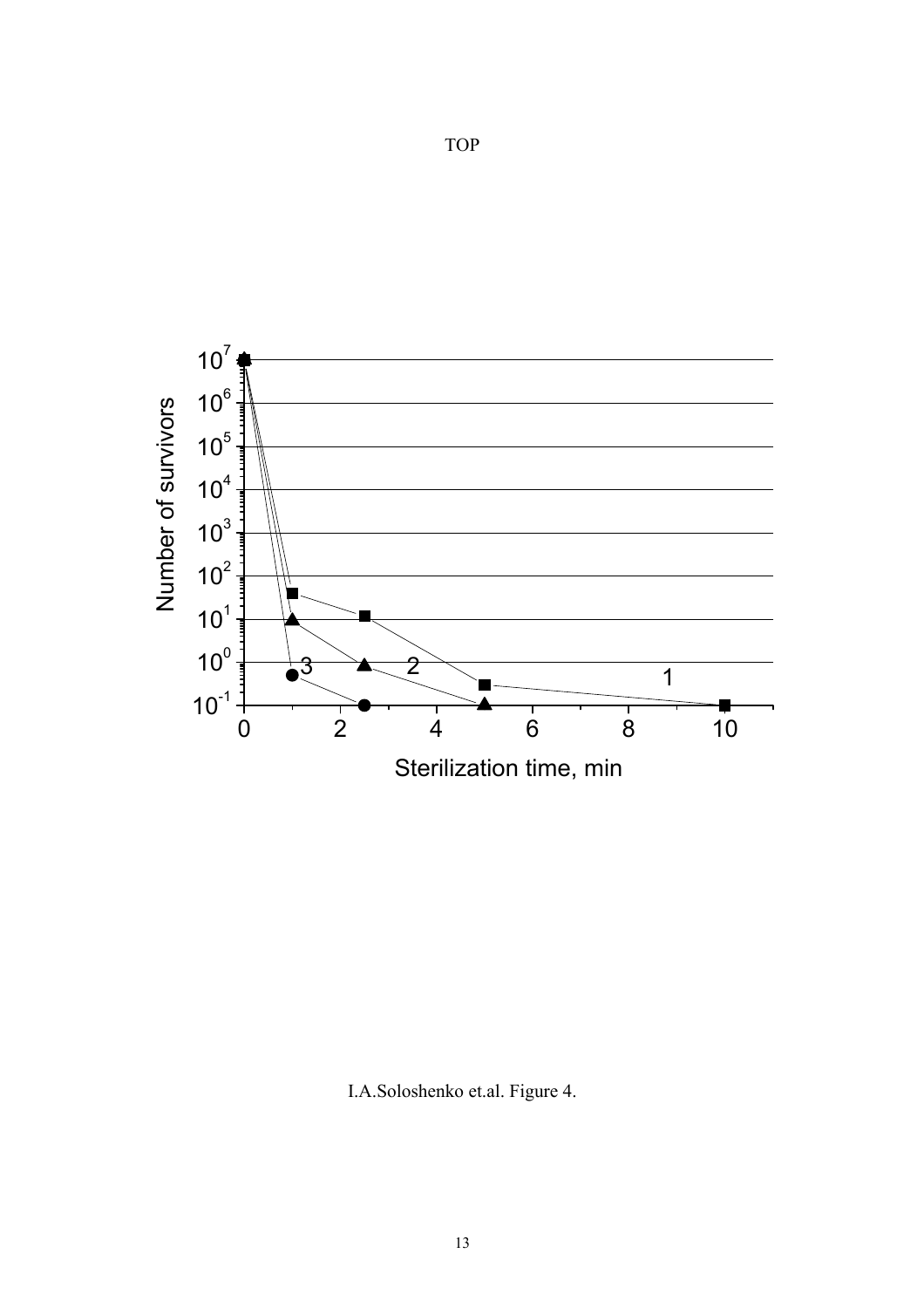